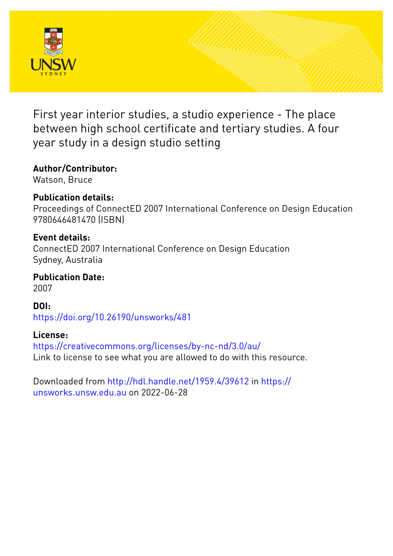

First year interior studies, a studio experience - The place between high school certificate and tertiary studies. A four year study in a design studio setting

## **Author/Contributor:**

Watson, Bruce

## **Publication details:**

Proceedings of ConnectED 2007 International Conference on Design Education 9780646481470 (ISBN)

## **Event details:**

ConnectED 2007 International Conference on Design Education Sydney, Australia

**Publication Date:** 2007

**DOI:** [https://doi.org/10.26190/unsworks/481](http://dx.doi.org/https://doi.org/10.26190/unsworks/481)

## **License:**

<https://creativecommons.org/licenses/by-nc-nd/3.0/au/> Link to license to see what you are allowed to do with this resource.

Downloaded from <http://hdl.handle.net/1959.4/39612> in [https://](https://unsworks.unsw.edu.au) [unsworks.unsw.edu.au](https://unsworks.unsw.edu.au) on 2022-06-28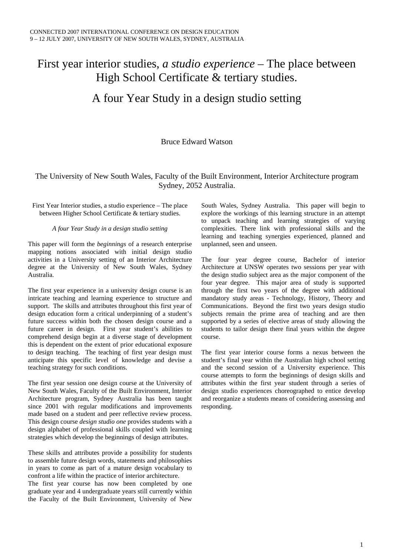# First year interior studies, *a studio experience* – The place between High School Certificate & tertiary studies.

## A four Year Study in a design studio setting

### Bruce Edward Watson

### The University of New South Wales, Faculty of the Built Environment, Interior Architecture program Sydney, 2052 Australia.

### First Year Interior studies, a studio experience – The place between Higher School Certificate & tertiary studies.

### *A four Year Study in a design studio setting*

This paper will form the *beginnings* of a research enterprise mapping notions associated with initial design studio activities in a University setting of an Interior Architecture degree at the University of New South Wales, Sydney Australia.

The first year experience in a university design course is an intricate teaching and learning experience to structure and support. The skills and attributes throughout this first year of design education form a critical underpinning of a student's future success within both the chosen design course and a future career in design. First year student's abilities to comprehend design begin at a diverse stage of development this is dependent on the extent of prior educational exposure to design teaching. The teaching of first year design must anticipate this specific level of knowledge and devise a teaching strategy for such conditions.

The first year session one design course at the University of New South Wales, Faculty of the Built Environment, Interior Architecture program, Sydney Australia has been taught since 2001 with regular modifications and improvements made based on a student and peer reflective review process. This design course *design studio one* provides students with a design alphabet of professional skills coupled with learning strategies which develop the beginnings of design attributes.

These skills and attributes provide a possibility for students to assemble future design words, statements and philosophies in years to come as part of a mature design vocabulary to confront a life within the practice of interior architecture. The first year course has now been completed by one graduate year and 4 undergraduate years still currently within the Faculty of the Built Environment, University of New

South Wales, Sydney Australia. This paper will begin to explore the workings of this learning structure in an attempt to unpack teaching and learning strategies of varying complexities. There link with professional skills and the learning and teaching synergies experienced, planned and unplanned, seen and unseen.

The four year degree course, Bachelor of interior Architecture at UNSW operates two sessions per year with the design studio subject area as the major component of the four year degree. This major area of study is supported through the first two years of the degree with additional mandatory study areas - Technology, History, Theory and Communications. Beyond the first two years design studio subjects remain the prime area of teaching and are then supported by a series of elective areas of study allowing the students to tailor design there final years within the degree course.

The first year interior course forms a nexus between the student's final year within the Australian high school setting and the second session of a University experience. This course attempts to form the beginnings of design skills and attributes within the first year student through a series of design studio experiences choreographed to entice develop and reorganize a students means of considering assessing and responding.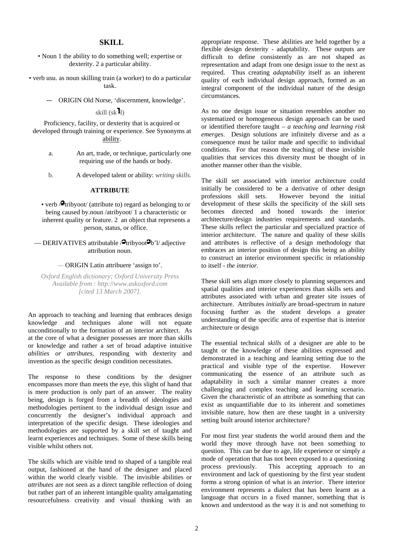### **SKILL**

- Noun 1 the ability to do something well; expertise or dexterity. 2 a particular ability.
- verb usu. as noun skilling train (a worker) to do a particular task.
	- ORIGIN Old Norse, 'discernment, knowledge'.

skill (sk l)

Proficiency, facility, or dexterity that is acquired or developed through training or experience. See Synonyms at ability.

- a. An art, trade, or technique, particularly one requiring use of the hands or body.
- b. A developed talent or ability: *writing skills.*

#### **ATTRIBUTE**

• verb  $\Theta$ tribyoot/ (attribute to) regard as belonging to or being caused by.noun /atribyoot/ 1 a characteristic or inherent quality or feature. 2 an object that represents a person, status, or office.

— DERIVATIVES attributable  $/2$ tribyoot $-$ b'l/ adjective attribution noun.

### *—* ORIGIN Latin attribuere 'assign to'.

*Oxford English dictionary; Oxford University Press Available from : http://www.askoxford.com [cited 13 March 2007].* 

An approach to teaching and learning that embraces design knowledge and techniques alone will not equate unconditionally to the formation of an interior architect. As at the core of what a designer possesses are more than skills or knowledge and rather a set of broad adaptive intuitive *abilities or attributes,* responding with dexterity and invention as the specific design condition necessitates.

The response to these conditions by the designer encompasses more than meets the eye, this slight of hand that is mere production is only part of an answer. The reality being, design is forged from a breadth of ideologies and methodologies pertinent to the individual design issue and concurrently the designer's individual approach and interpretation of the specific design. These ideologies and methodologies are supported by a skill set of taught and learnt experiences and techniques. Some of these skills being visible whilst others not.

The skills which are visible tend to shaped of a tangible real output, fashioned at the hand of the designer and placed within the world clearly visible. The invisible abilities or *attributes* are not seen as a direct tangible reflection of doing but rather part of an inherent intangible quality amalgamating resourcefulness creativity and visual thinking with an

appropriate response. These abilities are held together by a flexible design dexterity - adaptability. These outputs are difficult to define consistently as are not shaped as representation and adapt from one design issue to the next as required. Thus creating *adaptability* itself as an inherent quality of each individual design approach, formed as an integral component of the individual nature of the design circumstances.

As no one design issue or situation resembles another no systematized or homogeneous design approach can be used or identified therefore taught – *a teaching and learning risk emerges*. Design solutions are infinitely diverse and as a consequence must be tailor made and specific to individual conditions. For that reason the teaching of these invisible qualities that services this diversity must be thought of in another manner other than the visible.

The skill set associated with interior architecture could initially be considered to be a derivative of other design professions skill sets. However beyond the initial development of these skills the specificity of the skill sets becomes directed and honed towards the interior architecture/design industries requirements and standards. These skills reflect the particular and specialized practice of interior architecture. The nature and quality of these skills and attributes is reflective of a design methodology that embraces an interior position of design this being an ability to construct an interior environment specific in relationship to itself - *the interior.*

These skill sets align more closely to planning sequences and spatial qualities and interior experiences than skills sets and attributes associated with urban and greater site issues of architecture. Attributes *initially* are broad-spectrum in nature focusing further as the student develops a greater understanding of the specific area of expertise that is interior architecture or design

The essential technical *skills* of a designer are able to be taught or the knowledge of these abilities expressed and demonstrated in a teaching and learning setting due to the practical and visible type of the expertise. However communicating the essence of an attribute such as adaptability in such a similar manner creates a more challenging and complex teaching and learning scenario. Given the characteristic of an attribute as something that can exist as unquantifiable due to its inherent and sometimes invisible nature, how then are these taught in a university setting built around interior architecture?

For most first year students the world around them and the world they move through have not been something to question. This can be due to age, life experience or simply a mode of operation that has not been exposed to a questioning process previously. This accepting approach to an environment and lack of questioning by the first year student forms a strong opinion of what is an *interior*. There interior environment represents a dialect that has been learnt as a language that occurs in a fixed manner, something that is known and understood as the way it is and not something to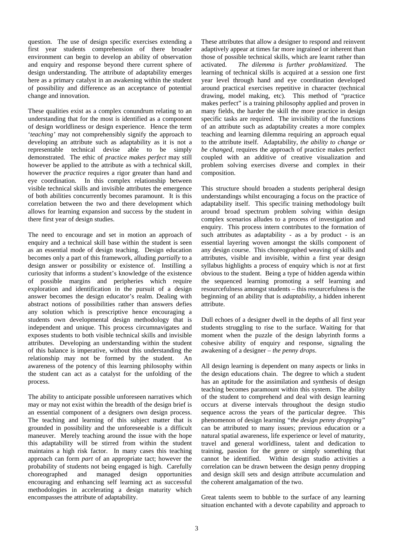question. The use of design specific exercises extending a first year students comprehension of there broader environment can begin to develop an ability of observation and enquiry and response beyond there current sphere of design understanding. The attribute of adaptability emerges here as a primary catalyst in an awakening within the student of possibility and difference as an acceptance of potential change and innovation.

These qualities exist as a complex conundrum relating to an understanding that for the most is identified as a component of design worldliness or design experience. Hence the term '*teaching'* may not comprehensibly signify the approach to developing an attribute such as adaptability as it is not a representable technical devise able to be simply demonstrated. The ethic of *practice makes perfect* may still however be applied to the attribute as with a technical skill, however the *practice* requires a rigor greater than hand and eye coordination. In this complex relationship between visible technical skills and invisible attributes the emergence of both abilities concurrently becomes paramount. It is this correlation between the two and there development which allows for learning expansion and success by the student in there first year of design studies.

The need to encourage and set in motion an approach of enquiry and a technical skill base within the student is seen as an essential mode of design teaching. Design education becomes only a part of this framework, alluding *partially* to a design answer or possibility or existence of. Instilling a curiosity that informs a student's knowledge of the existence of possible margins and peripheries which require exploration and identification in the pursuit of a design answer becomes the design educator's realm. Dealing with abstract notions of possibilities rather than answers defies any solution which is prescriptive hence encouraging a students own developmental design methodology that is independent and unique. This process circumnavigates and exposes students to both visible technical skills and invisible attributes. Developing an understanding within the student of this balance is imperative, without this understanding the relationship may not be formed by the student. An awareness of the potency of this learning philosophy within the student can act as a catalyst for the unfolding of the process.

The ability to anticipate possible unforeseen narratives which may or may not exist within the breadth of the design brief is an essential component of a designers own design process. The teaching and learning of this subject matter that is grounded in possibility and the unforeseeable is a difficult maneuver. Merely teaching around the issue with the hope this adaptability will be stirred from within the student maintains a high risk factor. In many cases this teaching approach can form *part* of an appropriate tact; however the probability of students not being engaged is high. Carefully choreographed and managed design opportunities encouraging and enhancing self learning act as successful methodologies in accelerating a design maturity which encompasses the attribute of adaptability.

These attributes that allow a designer to respond and reinvent adaptively appear at times far more ingrained or inherent than those of possible technical skills, which are learnt rather than activated. *The dilemma is further problamitized*. The learning of technical skills is acquired at a session one first year level through hand and eye coordination developed around practical exercises repetitive in character (technical drawing, model making, etc). This method of "practice makes perfect" is a training philosophy applied and proven in many fields, the harder the skill the more practice in design specific tasks are required. The invisibility of the functions of an attribute such as adaptability creates a more complex teaching and learning dilemma requiring an approach equal to the attribute itself. Adaptability, *the ability to change or be changed,* requires the approach of practice makes perfect coupled with an additive of creative visualization and problem solving exercises diverse and complex in their composition.

This structure should broaden a students peripheral design understandings whilst encouraging a focus on the practice of adaptability itself. This specific training methodology built around broad spectrum problem solving within design complex scenarios alludes to a process of investigation and enquiry. This process intern contributes to the formation of such attributes as adaptability - as a by product - is an essential layering woven amongst the skills component of any design course. This choreographed weaving of skills and attributes, visible and invisible, within a first year design syllabus highlights a process of enquiry which is *not* at first obvious to the student. Being a type of hidden agenda within the sequenced learning promoting a self learning and resourcefulness amongst students – this resourcefulness is the beginning of an ability that is *adaptability,* a hidden inherent attribute.

Dull echoes of a designer dwell in the depths of all first year students struggling to rise to the surface. Waiting for that moment when the puzzle of the design labyrinth forms a cohesive ability of enquiry and response, signaling the awakening of a designer – *the penny drops*.

All design learning is dependent on many aspects or links in the design educations chain. The degree to which a student has an aptitude for the assimilation and synthesis of design teaching becomes paramount within this system. The ability of the student to comprehend and deal with design learning occurs at diverse intervals throughout the design studio sequence across the years of the particular degree. This phenomenon of design learning *"the design penny dropping"* can be attributed to many issues; previous education or a natural spatial awareness, life experience or level of maturity, travel and general worldliness, talent and dedication to training, passion for the genre or simply something that cannot be identified. Within design studio activities a correlation can be drawn between the design penny dropping and design skill sets and design attribute accumulation and the coherent amalgamation of the two.

Great talents seem to bubble to the surface of any learning situation enchanted with a devote capability and approach to